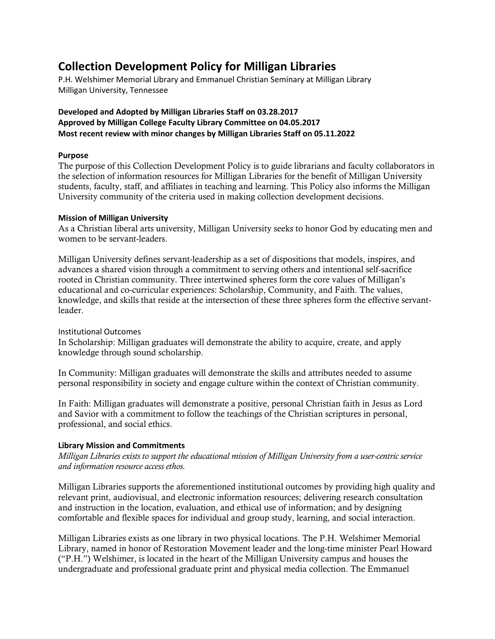# **Collection Development Policy for Milligan Libraries**

P.H. Welshimer Memorial Library and Emmanuel Christian Seminary at Milligan Library Milligan University, Tennessee

# **Developed and Adopted by Milligan Libraries Staff on 03.28.2017 Approved by Milligan College Faculty Library Committee on 04.05.2017 Most recent review with minor changes by Milligan Libraries Staff on 05.11.2022**

## **Purpose**

The purpose of this Collection Development Policy is to guide librarians and faculty collaborators in the selection of information resources for Milligan Libraries for the benefit of Milligan University students, faculty, staff, and affiliates in teaching and learning. This Policy also informs the Milligan University community of the criteria used in making collection development decisions.

# **Mission of Milligan University**

As a Christian liberal arts university, Milligan University seeks to honor God by educating men and women to be servant-leaders.

Milligan University defines servant-leadership as a set of dispositions that models, inspires, and advances a shared vision through a commitment to serving others and intentional self-sacrifice rooted in Christian community. Three intertwined spheres form the core values of Milligan's educational and co-curricular experiences: Scholarship, Community, and Faith. The values, knowledge, and skills that reside at the intersection of these three spheres form the effective servantleader.

# Institutional Outcomes

In Scholarship: Milligan graduates will demonstrate the ability to acquire, create, and apply knowledge through sound scholarship.

In Community: Milligan graduates will demonstrate the skills and attributes needed to assume personal responsibility in society and engage culture within the context of Christian community.

In Faith: Milligan graduates will demonstrate a positive, personal Christian faith in Jesus as Lord and Savior with a commitment to follow the teachings of the Christian scriptures in personal, professional, and social ethics.

# **Library Mission and Commitments**

*Milligan Libraries exists to support the educational mission of Milligan University from a user-centric service and information resource access ethos.*

Milligan Libraries supports the aforementioned institutional outcomes by providing high quality and relevant print, audiovisual, and electronic information resources; delivering research consultation and instruction in the location, evaluation, and ethical use of information; and by designing comfortable and flexible spaces for individual and group study, learning, and social interaction.

Milligan Libraries exists as one library in two physical locations. The P.H. Welshimer Memorial Library, named in honor of Restoration Movement leader and the long-time minister Pearl Howard ("P.H.") Welshimer, is located in the heart of the Milligan University campus and houses the undergraduate and professional graduate print and physical media collection. The Emmanuel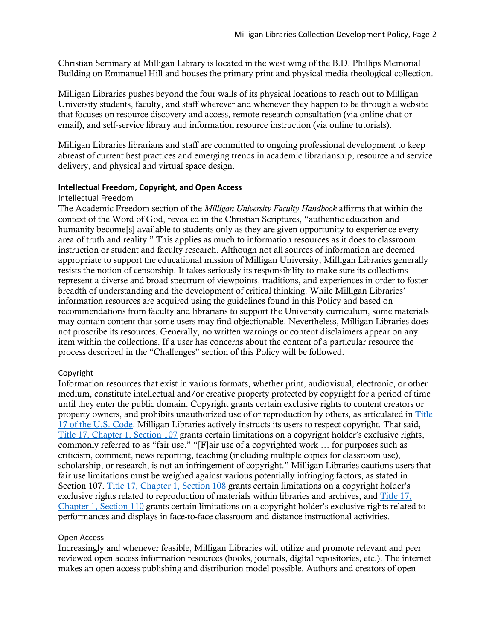Christian Seminary at Milligan Library is located in the west wing of the B.D. Phillips Memorial Building on Emmanuel Hill and houses the primary print and physical media theological collection.

Milligan Libraries pushes beyond the four walls of its physical locations to reach out to Milligan University students, faculty, and staff wherever and whenever they happen to be through a website that focuses on resource discovery and access, remote research consultation (via online chat or email), and self-service library and information resource instruction (via online tutorials).

Milligan Libraries librarians and staff are committed to ongoing professional development to keep abreast of current best practices and emerging trends in academic librarianship, resource and service delivery, and physical and virtual space design.

#### **Intellectual Freedom, Copyright, and Open Access**

#### Intellectual Freedom

The Academic Freedom section of the *Milligan University Faculty Handbook* affirms that within the context of the Word of God, revealed in the Christian Scriptures, "authentic education and humanity become[s] available to students only as they are given opportunity to experience every area of truth and reality." This applies as much to information resources as it does to classroom instruction or student and faculty research. Although not all sources of information are deemed appropriate to support the educational mission of Milligan University, Milligan Libraries generally resists the notion of censorship. It takes seriously its responsibility to make sure its collections represent a diverse and broad spectrum of viewpoints, traditions, and experiences in order to foster breadth of understanding and the development of critical thinking. While Milligan Libraries' information resources are acquired using the guidelines found in this Policy and based on recommendations from faculty and librarians to support the University curriculum, some materials may contain content that some users may find objectionable. Nevertheless, Milligan Libraries does not proscribe its resources. Generally, no written warnings or content disclaimers appear on any item within the collections. If a user has concerns about the content of a particular resource the process described in the "Challenges" section of this Policy will be followed.

#### Copyright

Information resources that exist in various formats, whether print, audiovisual, electronic, or other medium, constitute intellectual and/or creative property protected by copyright for a period of time until they enter the public domain. Copyright grants certain exclusive rights to content creators or property owners, and prohibits unauthorized use of or reproduction by others, as articulated in [Title](https://www.copyright.gov/title17/)  [17 of the U.S. Code.](https://www.copyright.gov/title17/) Milligan Libraries actively instructs its users to respect copyright. That said, [Title 17, Chapter 1, Section 107](https://www.copyright.gov/title17/92chap1.html#107) grants certain limitations on a copyright holder's exclusive rights, commonly referred to as "fair use." "[F]air use of a copyrighted work … for purposes such as criticism, comment, news reporting, teaching (including multiple copies for classroom use), scholarship, or research, is not an infringement of copyright." Milligan Libraries cautions users that fair use limitations must be weighed against various potentially infringing factors, as stated in Section 107. [Title 17, Chapter 1, Section 108](https://www.copyright.gov/title17/92chap1.html#108) grants certain limitations on a copyright holder's exclusive rights related to reproduction of materials within libraries and archives, and [Title 17,](https://www.copyright.gov/title17/92chap1.html#110)  [Chapter 1, Section 110](https://www.copyright.gov/title17/92chap1.html#110) grants certain limitations on a copyright holder's exclusive rights related to performances and displays in face-to-face classroom and distance instructional activities.

## Open Access

Increasingly and whenever feasible, Milligan Libraries will utilize and promote relevant and peer reviewed open access information resources (books, journals, digital repositories, etc.). The internet makes an open access publishing and distribution model possible. Authors and creators of open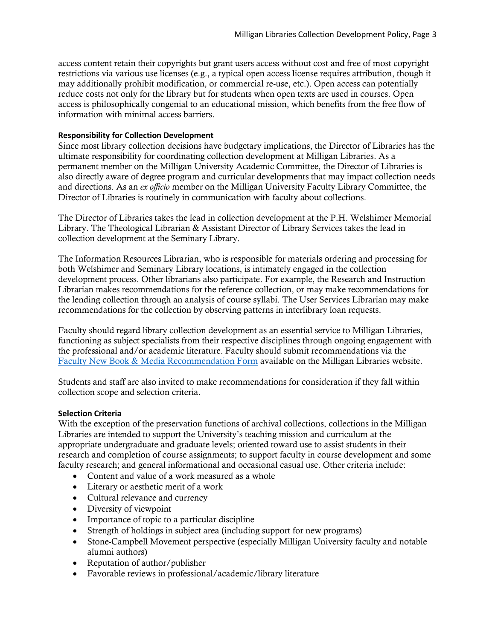access content retain their copyrights but grant users access without cost and free of most copyright restrictions via various use licenses (e.g., a typical open access license requires attribution, though it may additionally prohibit modification, or commercial re-use, etc.). Open access can potentially reduce costs not only for the library but for students when open texts are used in courses. Open access is philosophically congenial to an educational mission, which benefits from the free flow of information with minimal access barriers.

## **Responsibility for Collection Development**

Since most library collection decisions have budgetary implications, the Director of Libraries has the ultimate responsibility for coordinating collection development at Milligan Libraries. As a permanent member on the Milligan University Academic Committee, the Director of Libraries is also directly aware of degree program and curricular developments that may impact collection needs and directions. As an *ex officio* member on the Milligan University Faculty Library Committee, the Director of Libraries is routinely in communication with faculty about collections.

The Director of Libraries takes the lead in collection development at the P.H. Welshimer Memorial Library. The Theological Librarian & Assistant Director of Library Services takes the lead in collection development at the Seminary Library.

The Information Resources Librarian, who is responsible for materials ordering and processing for both Welshimer and Seminary Library locations, is intimately engaged in the collection development process. Other librarians also participate. For example, the Research and Instruction Librarian makes recommendations for the reference collection, or may make recommendations for the lending collection through an analysis of course syllabi. The User Services Librarian may make recommendations for the collection by observing patterns in interlibrary loan requests.

Faculty should regard library collection development as an essential service to Milligan Libraries, functioning as subject specialists from their respective disciplines through ongoing engagement with the professional and/or academic literature. Faculty should submit recommendations via the [Faculty New Book & Media Recommendation Form](https://library.milligan.edu/faculty-request-form/) available on the Milligan Libraries website.

Students and staff are also invited to make recommendations for consideration if they fall within collection scope and selection criteria.

## **Selection Criteria**

With the exception of the preservation functions of archival collections, collections in the Milligan Libraries are intended to support the University's teaching mission and curriculum at the appropriate undergraduate and graduate levels; oriented toward use to assist students in their research and completion of course assignments; to support faculty in course development and some faculty research; and general informational and occasional casual use. Other criteria include:

- Content and value of a work measured as a whole
- Literary or aesthetic merit of a work
- Cultural relevance and currency
- Diversity of viewpoint
- Importance of topic to a particular discipline
- Strength of holdings in subject area (including support for new programs)
- Stone-Campbell Movement perspective (especially Milligan University faculty and notable alumni authors)
- Reputation of author/publisher
- Favorable reviews in professional/academic/library literature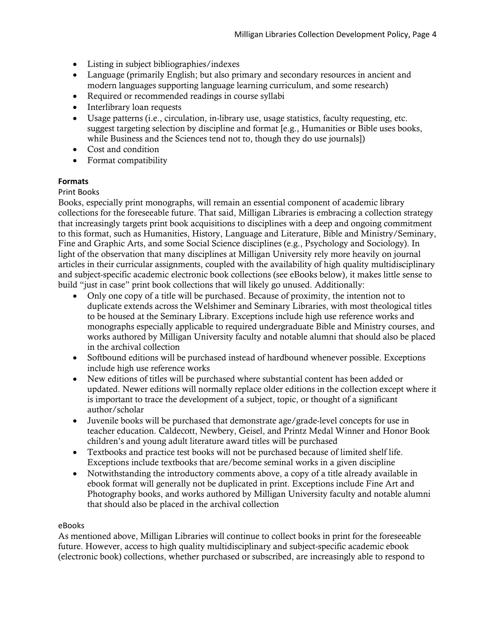- Listing in subject bibliographies/indexes
- Language (primarily English; but also primary and secondary resources in ancient and modern languages supporting language learning curriculum, and some research)
- Required or recommended readings in course syllabi
- Interlibrary loan requests
- Usage patterns (i.e., circulation, in-library use, usage statistics, faculty requesting, etc. suggest targeting selection by discipline and format [e.g., Humanities or Bible uses books, while Business and the Sciences tend not to, though they do use journals])
- Cost and condition
- Format compatibility

# **Formats**

## Print Books

Books, especially print monographs, will remain an essential component of academic library collections for the foreseeable future. That said, Milligan Libraries is embracing a collection strategy that increasingly targets print book acquisitions to disciplines with a deep and ongoing commitment to this format, such as Humanities, History, Language and Literature, Bible and Ministry/Seminary, Fine and Graphic Arts, and some Social Science disciplines (e.g., Psychology and Sociology). In light of the observation that many disciplines at Milligan University rely more heavily on journal articles in their curricular assignments, coupled with the availability of high quality multidisciplinary and subject-specific academic electronic book collections (see eBooks below), it makes little sense to build "just in case" print book collections that will likely go unused. Additionally:

- Only one copy of a title will be purchased. Because of proximity, the intention not to duplicate extends across the Welshimer and Seminary Libraries, with most theological titles to be housed at the Seminary Library. Exceptions include high use reference works and monographs especially applicable to required undergraduate Bible and Ministry courses, and works authored by Milligan University faculty and notable alumni that should also be placed in the archival collection
- Softbound editions will be purchased instead of hardbound whenever possible. Exceptions include high use reference works
- New editions of titles will be purchased where substantial content has been added or updated. Newer editions will normally replace older editions in the collection except where it is important to trace the development of a subject, topic, or thought of a significant author/scholar
- Juvenile books will be purchased that demonstrate age/grade-level concepts for use in teacher education. Caldecott, Newbery, Geisel, and Printz Medal Winner and Honor Book children's and young adult literature award titles will be purchased
- Textbooks and practice test books will not be purchased because of limited shelf life. Exceptions include textbooks that are/become seminal works in a given discipline
- Notwithstanding the introductory comments above, a copy of a title already available in ebook format will generally not be duplicated in print. Exceptions include Fine Art and Photography books, and works authored by Milligan University faculty and notable alumni that should also be placed in the archival collection

## eBooks

As mentioned above, Milligan Libraries will continue to collect books in print for the foreseeable future. However, access to high quality multidisciplinary and subject-specific academic ebook (electronic book) collections, whether purchased or subscribed, are increasingly able to respond to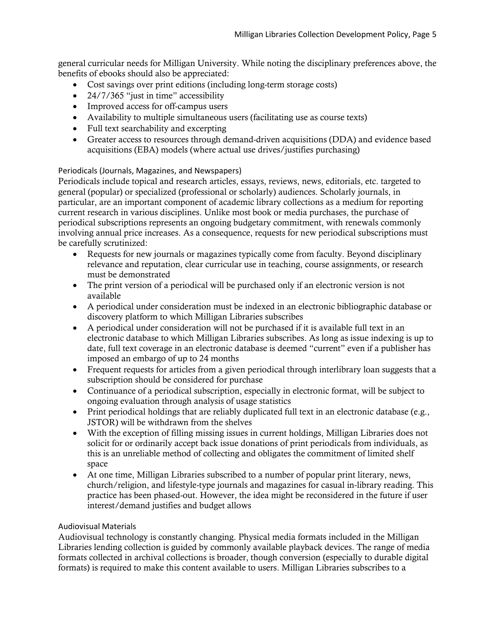general curricular needs for Milligan University. While noting the disciplinary preferences above, the benefits of ebooks should also be appreciated:

- Cost savings over print editions (including long-term storage costs)
- 24/7/365 "just in time" accessibility
- Improved access for off-campus users
- Availability to multiple simultaneous users (facilitating use as course texts)
- Full text searchability and excerpting
- Greater access to resources through demand-driven acquisitions (DDA) and evidence based acquisitions (EBA) models (where actual use drives/justifies purchasing)

# Periodicals (Journals, Magazines, and Newspapers)

Periodicals include topical and research articles, essays, reviews, news, editorials, etc. targeted to general (popular) or specialized (professional or scholarly) audiences. Scholarly journals, in particular, are an important component of academic library collections as a medium for reporting current research in various disciplines. Unlike most book or media purchases, the purchase of periodical subscriptions represents an ongoing budgetary commitment, with renewals commonly involving annual price increases. As a consequence, requests for new periodical subscriptions must be carefully scrutinized:

- Requests for new journals or magazines typically come from faculty. Beyond disciplinary relevance and reputation, clear curricular use in teaching, course assignments, or research must be demonstrated
- The print version of a periodical will be purchased only if an electronic version is not available
- A periodical under consideration must be indexed in an electronic bibliographic database or discovery platform to which Milligan Libraries subscribes
- A periodical under consideration will not be purchased if it is available full text in an electronic database to which Milligan Libraries subscribes. As long as issue indexing is up to date, full text coverage in an electronic database is deemed "current" even if a publisher has imposed an embargo of up to 24 months
- Frequent requests for articles from a given periodical through interlibrary loan suggests that a subscription should be considered for purchase
- Continuance of a periodical subscription, especially in electronic format, will be subject to ongoing evaluation through analysis of usage statistics
- Print periodical holdings that are reliably duplicated full text in an electronic database (e.g., JSTOR) will be withdrawn from the shelves
- With the exception of filling missing issues in current holdings, Milligan Libraries does not solicit for or ordinarily accept back issue donations of print periodicals from individuals, as this is an unreliable method of collecting and obligates the commitment of limited shelf space
- At one time, Milligan Libraries subscribed to a number of popular print literary, news, church/religion, and lifestyle-type journals and magazines for casual in-library reading. This practice has been phased-out. However, the idea might be reconsidered in the future if user interest/demand justifies and budget allows

## Audiovisual Materials

Audiovisual technology is constantly changing. Physical media formats included in the Milligan Libraries lending collection is guided by commonly available playback devices. The range of media formats collected in archival collections is broader, though conversion (especially to durable digital formats) is required to make this content available to users. Milligan Libraries subscribes to a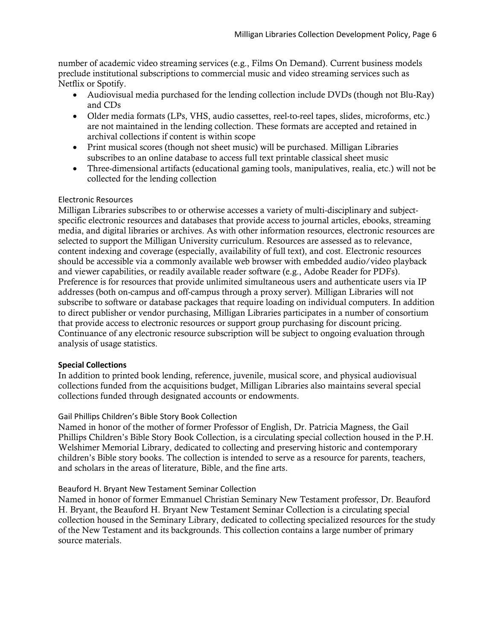number of academic video streaming services (e.g., Films On Demand). Current business models preclude institutional subscriptions to commercial music and video streaming services such as Netflix or Spotify.

- Audiovisual media purchased for the lending collection include DVDs (though not Blu-Ray) and CDs
- Older media formats (LPs, VHS, audio cassettes, reel-to-reel tapes, slides, microforms, etc.) are not maintained in the lending collection. These formats are accepted and retained in archival collections if content is within scope
- Print musical scores (though not sheet music) will be purchased. Milligan Libraries subscribes to an online database to access full text printable classical sheet music
- Three-dimensional artifacts (educational gaming tools, manipulatives, realia, etc.) will not be collected for the lending collection

## Electronic Resources

Milligan Libraries subscribes to or otherwise accesses a variety of multi-disciplinary and subjectspecific electronic resources and databases that provide access to journal articles, ebooks, streaming media, and digital libraries or archives. As with other information resources, electronic resources are selected to support the Milligan University curriculum. Resources are assessed as to relevance, content indexing and coverage (especially, availability of full text), and cost. Electronic resources should be accessible via a commonly available web browser with embedded audio/video playback and viewer capabilities, or readily available reader software (e.g., Adobe Reader for PDFs). Preference is for resources that provide unlimited simultaneous users and authenticate users via IP addresses (both on-campus and off-campus through a proxy server). Milligan Libraries will not subscribe to software or database packages that require loading on individual computers. In addition to direct publisher or vendor purchasing, Milligan Libraries participates in a number of consortium that provide access to electronic resources or support group purchasing for discount pricing. Continuance of any electronic resource subscription will be subject to ongoing evaluation through analysis of usage statistics.

#### **Special Collections**

In addition to printed book lending, reference, juvenile, musical score, and physical audiovisual collections funded from the acquisitions budget, Milligan Libraries also maintains several special collections funded through designated accounts or endowments.

#### Gail Phillips Children's Bible Story Book Collection

Named in honor of the mother of former Professor of English, Dr. Patricia Magness, the Gail Phillips Children's Bible Story Book Collection, is a circulating special collection housed in the P.H. Welshimer Memorial Library, dedicated to collecting and preserving historic and contemporary children's Bible story books. The collection is intended to serve as a resource for parents, teachers, and scholars in the areas of literature, Bible, and the fine arts.

#### Beauford H. Bryant New Testament Seminar Collection

Named in honor of former Emmanuel Christian Seminary New Testament professor, Dr. Beauford H. Bryant, the Beauford H. Bryant New Testament Seminar Collection is a circulating special collection housed in the Seminary Library, dedicated to collecting specialized resources for the study of the New Testament and its backgrounds. This collection contains a large number of primary source materials.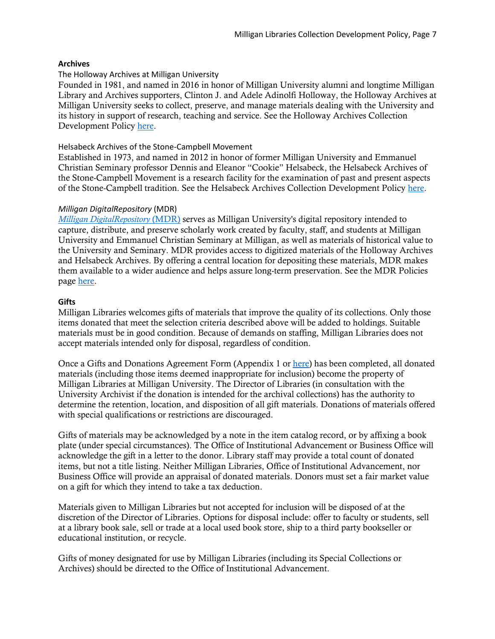### **Archives**

### The Holloway Archives at Milligan University

Founded in 1981, and named in 2016 in honor of Milligan University alumni and longtime Milligan Library and Archives supporters, Clinton J. and Adele Adinolfi Holloway, the Holloway Archives at Milligan University seeks to collect, preserve, and manage materials dealing with the University and its history in support of research, teaching and service. See the Holloway Archives Collection Development Policy [here.](https://library.milligan.edu/wp-content/uploads/2018/02/Holloway_Archives_Collection_Policy.pdf)

## Helsabeck Archives of the Stone-Campbell Movement

Established in 1973, and named in 2012 in honor of former Milligan University and Emmanuel Christian Seminary professor Dennis and Eleanor "Cookie" Helsabeck, the Helsabeck Archives of the Stone-Campbell Movement is a research facility for the examination of past and present aspects of the Stone-Campbell tradition. See the Helsabeck Archives Collection Development Policy [here.](https://library.milligan.edu/wp-content/uploads/2018/02/Helsabeck_Archives_Collection_Policy.pdf)

## *Milligan DigitalRepository* (MDR)

*[Milligan DigitalRepository](http://mcstor.library.milligan.edu/)* [\(MDR\)](http://mcstor.library.milligan.edu/) serves as Milligan University's digital repository intended to capture, distribute, and preserve scholarly work created by faculty, staff, and students at Milligan University and Emmanuel Christian Seminary at Milligan, as well as materials of historical value to the University and Seminary. MDR provides access to digitized materials of the Holloway Archives and Helsabeck Archives. By offering a central location for depositing these materials, MDR makes them available to a wider audience and helps assure long-term preservation. See the MDR Policies page [here.](https://mcstor.library.milligan.edu/page/policy)

## **Gifts**

Milligan Libraries welcomes gifts of materials that improve the quality of its collections. Only those items donated that meet the selection criteria described above will be added to holdings. Suitable materials must be in good condition. Because of demands on staffing, Milligan Libraries does not accept materials intended only for disposal, regardless of condition.

Once a Gifts and Donations Agreement Form (Appendix 1 or [here\)](https://library.milligan.edu/wp-content/uploads/2017/04/Milligan_Libraries_Gifts_and_Donations_Agreement_Form_20170406.pdf) has been completed, all donated materials (including those items deemed inappropriate for inclusion) become the property of Milligan Libraries at Milligan University. The Director of Libraries (in consultation with the University Archivist if the donation is intended for the archival collections) has the authority to determine the retention, location, and disposition of all gift materials. Donations of materials offered with special qualifications or restrictions are discouraged.

Gifts of materials may be acknowledged by a note in the item catalog record, or by affixing a book plate (under special circumstances). The Office of Institutional Advancement or Business Office will acknowledge the gift in a letter to the donor. Library staff may provide a total count of donated items, but not a title listing. Neither Milligan Libraries, Office of Institutional Advancement, nor Business Office will provide an appraisal of donated materials. Donors must set a fair market value on a gift for which they intend to take a tax deduction.

Materials given to Milligan Libraries but not accepted for inclusion will be disposed of at the discretion of the Director of Libraries. Options for disposal include: offer to faculty or students, sell at a library book sale, sell or trade at a local used book store, ship to a third party bookseller or educational institution, or recycle.

Gifts of money designated for use by Milligan Libraries (including its Special Collections or Archives) should be directed to the Office of Institutional Advancement.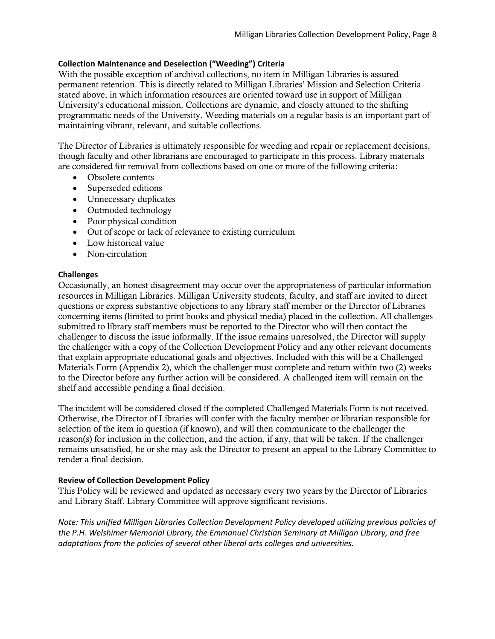## **Collection Maintenance and Deselection ("Weeding") Criteria**

With the possible exception of archival collections, no item in Milligan Libraries is assured permanent retention. This is directly related to Milligan Libraries' Mission and Selection Criteria stated above, in which information resources are oriented toward use in support of Milligan University's educational mission. Collections are dynamic, and closely attuned to the shifting programmatic needs of the University. Weeding materials on a regular basis is an important part of maintaining vibrant, relevant, and suitable collections.

The Director of Libraries is ultimately responsible for weeding and repair or replacement decisions, though faculty and other librarians are encouraged to participate in this process. Library materials are considered for removal from collections based on one or more of the following criteria:

- Obsolete contents
- Superseded editions
- Unnecessary duplicates
- Outmoded technology
- Poor physical condition
- Out of scope or lack of relevance to existing curriculum
- Low historical value
- Non-circulation

## **Challenges**

Occasionally, an honest disagreement may occur over the appropriateness of particular information resources in Milligan Libraries. Milligan University students, faculty, and staff are invited to direct questions or express substantive objections to any library staff member or the Director of Libraries concerning items (limited to print books and physical media) placed in the collection. All challenges submitted to library staff members must be reported to the Director who will then contact the challenger to discuss the issue informally. If the issue remains unresolved, the Director will supply the challenger with a copy of the Collection Development Policy and any other relevant documents that explain appropriate educational goals and objectives. Included with this will be a Challenged Materials Form (Appendix 2), which the challenger must complete and return within two (2) weeks to the Director before any further action will be considered. A challenged item will remain on the shelf and accessible pending a final decision.

The incident will be considered closed if the completed Challenged Materials Form is not received. Otherwise, the Director of Libraries will confer with the faculty member or librarian responsible for selection of the item in question (if known), and will then communicate to the challenger the reason(s) for inclusion in the collection, and the action, if any, that will be taken. If the challenger remains unsatisfied, he or she may ask the Director to present an appeal to the Library Committee to render a final decision.

## **Review of Collection Development Policy**

This Policy will be reviewed and updated as necessary every two years by the Director of Libraries and Library Staff. Library Committee will approve significant revisions.

*Note: This unified Milligan Libraries Collection Development Policy developed utilizing previous policies of the P.H. Welshimer Memorial Library, the Emmanuel Christian Seminary at Milligan Library, and free adaptations from the policies of several other liberal arts colleges and universities.*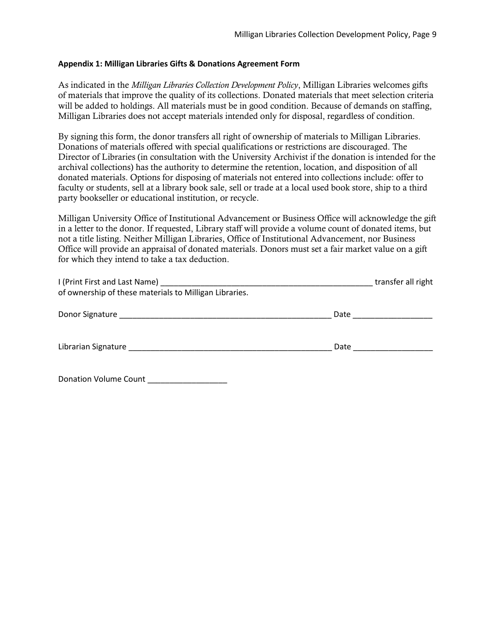### **Appendix 1: Milligan Libraries Gifts & Donations Agreement Form**

As indicated in the *Milligan Libraries Collection Development Policy*, Milligan Libraries welcomes gifts of materials that improve the quality of its collections. Donated materials that meet selection criteria will be added to holdings. All materials must be in good condition. Because of demands on staffing, Milligan Libraries does not accept materials intended only for disposal, regardless of condition.

By signing this form, the donor transfers all right of ownership of materials to Milligan Libraries. Donations of materials offered with special qualifications or restrictions are discouraged. The Director of Libraries (in consultation with the University Archivist if the donation is intended for the archival collections) has the authority to determine the retention, location, and disposition of all donated materials. Options for disposing of materials not entered into collections include: offer to faculty or students, sell at a library book sale, sell or trade at a local used book store, ship to a third party bookseller or educational institution, or recycle.

Milligan University Office of Institutional Advancement or Business Office will acknowledge the gift in a letter to the donor. If requested, Library staff will provide a volume count of donated items, but not a title listing. Neither Milligan Libraries, Office of Institutional Advancement, nor Business Office will provide an appraisal of donated materials. Donors must set a fair market value on a gift for which they intend to take a tax deduction.

|                                                                                                                                                                                                                                |      | transfer all right |
|--------------------------------------------------------------------------------------------------------------------------------------------------------------------------------------------------------------------------------|------|--------------------|
| of ownership of these materials to Milligan Libraries.                                                                                                                                                                         |      |                    |
|                                                                                                                                                                                                                                | Date |                    |
| Librarian Signature and the control of the control of the control of the control of the control of the control of the control of the control of the control of the control of the control of the control of the control of the | Date |                    |

Donation Volume Count \_\_\_\_\_\_\_\_\_\_\_\_\_\_\_\_\_\_